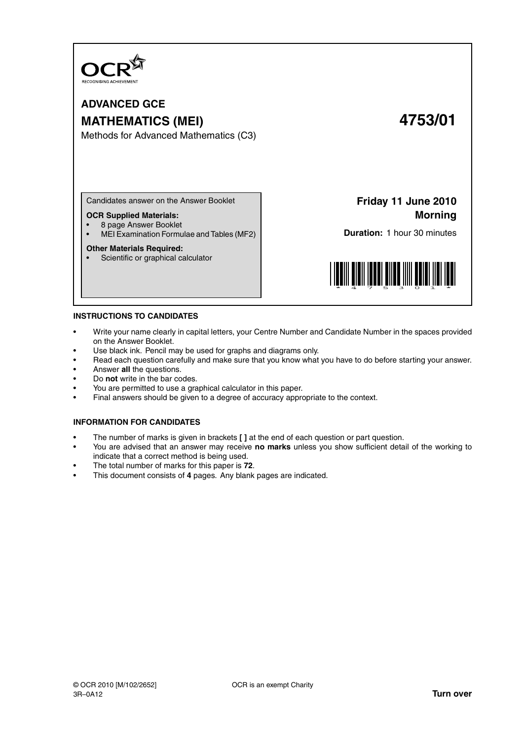

**ADVANCED GCE MATHEMATICS (MEI) 4753/01**

Methods for Advanced Mathematics (C3)

Candidates answer on the Answer Booklet

### **OCR Supplied Materials:**

- 8 page Answer Booklet
- MEI Examination Formulae and Tables (MF2)

### **Other Materials Required:**

• Scientific or graphical calculator

**Friday 11 June 2010 Morning**

**Duration:** 1 hour 30 minutes



### **INSTRUCTIONS TO CANDIDATES**

- Write your name clearly in capital letters, your Centre Number and Candidate Number in the spaces provided on the Answer Booklet.
- Use black ink. Pencil may be used for graphs and diagrams only.
- Read each question carefully and make sure that you know what you have to do before starting your answer.
- Answer **all** the questions.
- Do **not** write in the bar codes.
- You are permitted to use a graphical calculator in this paper.
- Final answers should be given to a degree of accuracy appropriate to the context.

### **INFORMATION FOR CANDIDATES**

- The number of marks is given in brackets **[ ]** at the end of each question or part question.
- You are advised that an answer may receive **no marks** unless you show sufficient detail of the working to indicate that a correct method is being used.
- The total number of marks for this paper is **72**.
- This document consists of **4** pages. Any blank pages are indicated.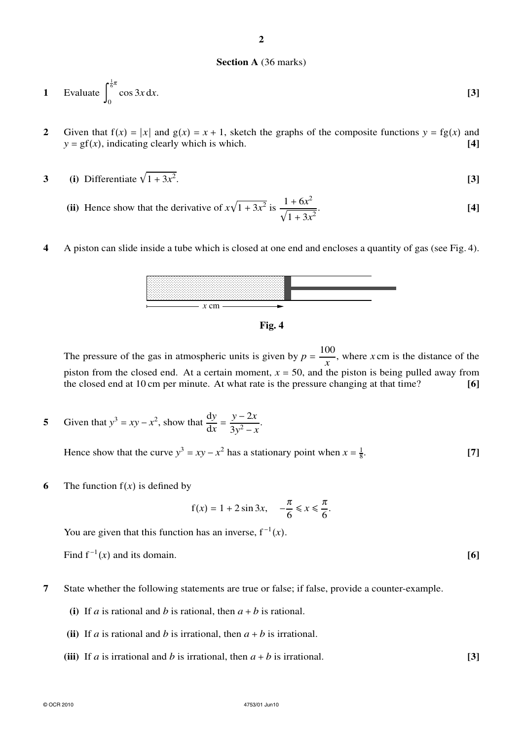# Fig. 4

The pressure of the gas in atmospheric units is given by  $p = \frac{100}{x}$ , where x cm is the distance of the piston from the closed end. At a certain moment,  $x = 50$ , and the piston is being pulled away from the closed end at 10 cm per minute. At what rate is the pressure changing at that time?  $[6]$ 

Given that  $y^3 = xy - x^2$ , show that  $\frac{dy}{dx} = \frac{y - 2x}{3y^2 - x}$ . 5

Hence show that the curve  $y^3 = xy - x^2$  has a stationary point when  $x = \frac{1}{8}$ .  $[7]$ 

 $f(x) = 1 + 2 \sin 3x$ ,  $-\frac{\pi}{6} \le x \le \frac{\pi}{6}$ .

6 The function  $f(x)$  is defined by

You are given that this function has an inverse, 
$$
f^{-1}(x)
$$
.

Find  $f^{-1}(x)$  and its domain.

- $\overline{7}$ State whether the following statements are true or false; if false, provide a counter-example.
	- (i) If a is rational and b is rational, then  $a + b$  is rational.
	- (ii) If *a* is rational and *b* is irrational, then  $a + b$  is irrational.
	- (iii) If *a* is irrational and *b* is irrational, then  $a + b$  is irrational.

 $\overline{2}$ 

1 Evaluate 
$$
\int_0^{\frac{1}{6}\pi} \cos 3x \, dx.
$$
 [3]

- $\overline{2}$ Given that  $f(x) = |x|$  and  $g(x) = x + 1$ , sketch the graphs of the composite functions  $y = fg(x)$  and  $y = gf(x)$ , indicating clearly which is which.  $[4]$
- (i) Differentiate  $\sqrt{1+3x^2}$ . 3  $\lceil 3 \rceil$ 
	- (ii) Hence show that the derivative of  $x\sqrt{1+3x^2}$  is  $\frac{1+6x^2}{\sqrt{1+3x^2}}$ .  $[4]$
- $\overline{\mathbf{4}}$ A piston can slide inside a tube which is closed at one end and encloses a quantity of gas (see Fig. 4).



 $4753/01$  lun10

 $[6]$ 

 $[3]$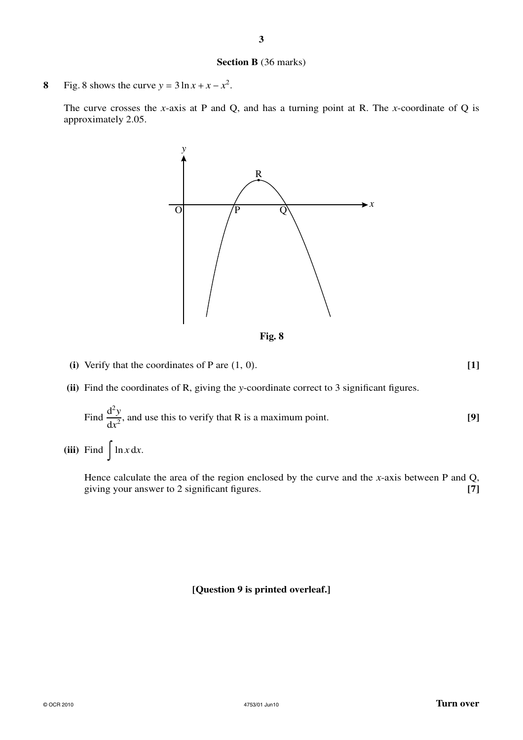## **Section B** (36 marks)

**8** Fig. 8 shows the curve  $y = 3 \ln x + x - x^2$ .

The curve crosses the *x*-axis at P and Q, and has a turning point at R. The *x*-coordinate of Q is approximately 2.05.



**Fig. 8**

**(i)** Verify that the coordinates of P are (1, 0). **[1]**

**(ii)** Find the coordinates of R, giving the *y*-coordinate correct to 3 significant figures.

Find 
$$
\frac{d^2 y}{dx^2}
$$
, and use this to verify that R is a maximum point. [9]

(iii) Find  $\int \ln x \, dx$ .

Hence calculate the area of the region enclosed by the curve and the *x*-axis between P and Q, giving your answer to 2 significant figures. **[7]**

### **[Question 9 is printed overleaf.]**